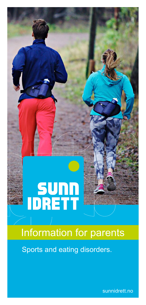# Information for parents

Sports and eating disorders.

**SUNN**<br>IDRETT

sunnidrett.no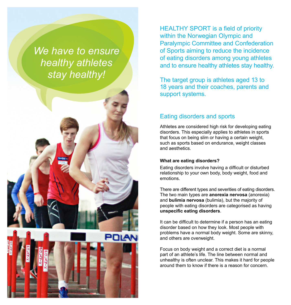*We have to ensure healthy athletes stay healthy!*



HEALTHY SPORT is a field of priority within the Norwegian Olympic and Paralympic Committee and Confederation of Sports aiming to reduce the incidence of eating disorders among young athletes and to ensure healthy athletes stay healthy.

The target group is athletes aged 13 to 18 years and their coaches, parents and support systems.

## Eating disorders and sports

Athletes are considered high risk for developing eating disorders. This especially applies to athletes in sports that focus on being slim or having a certain weight, such as sports based on endurance, weight classes and aesthetics.

#### **What are eating disorders?**

Eating disorders involve having a difficult or disturbed relationship to your own body, body weight, food and emotions.

There are different types and severities of eating disorders. The two main types are **anorexia nervosa** (anorexia) and **bulimia nervosa** (bulimia), but the majority of people with eating disorders are categorised as having **unspecific eating disorders**.

It can be difficult to determine if a person has an eating disorder based on how they look. Most people with problems have a normal body weight. Some are skinny, and others are overweight.

Focus on body weight and a correct diet is a normal part of an athlete's life. The line between normal and unhealthy is often unclear. This makes it hard for people around them to know if there is a reason for concern.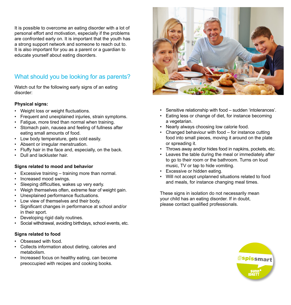It is possible to overcome an eating disorder with a lot of personal effort and motivation, especially if the problems are confronted early on. It is important that the youth has a strong support network and someone to reach out to. It is also important for you as a parent or a guardian to educate yourself about eating disorders.

# What should you be looking for as parents?

Watch out for the following early signs of an eating disorder:

#### **Physical signs:**

- Weight loss or weight fluctuations.
- Frequent and unexplained injuries, strain symptoms.
- Fatigue, more tired than normal when training.
- Stomach pain, nausea and feeling of fullness after eating small amounts of food.
- Low body temperature, gets cold easily.
- Absent or irregular menstruation.
- Fluffy hair in the face and, especially, on the back.
- Dull and lackluster hair.

#### **Signs related to mood and behavior**

- Excessive training training more than normal.
- Increased mood swings.
- Sleeping difficulties, wakes up very early.
- Weigh themselves often, extreme fear of weight gain.
- Unexplained performance fluctuations.
- Low view of themselves and their body.
- Significant changes in performance at school and/or in their sport.
- Developing rigid daily routines.
- Social withdrawal, avoiding birthdays, school events, etc.

#### **Signs related to food**

- Obsessed with food.
- Collects information about dieting, calories and metabolism.
- Increased focus on healthy eating, can become preoccupied with recipes and cooking books.



- Sensitive relationship with food sudden 'intolerances'.
- Eating less or change of diet, for instance becoming a vegetarian.
- Nearly always choosing low calorie food.
- Changed behaviour with food for instance cutting food into small pieces, moving it around on the plate or spreading it.
- Throws away and/or hides food in napkins, pockets, etc.
- Leaves the table during the meal or immediately after to go to their room or the bathroom. Turns on loud music, TV or tap to hide vomiting.
- Excessive or hidden eating.
- Will not accept unplanned situations related to food and meals, for instance changing meal times.

These signs in isolation do not necessarily mean your child has an eating disorder. If in doubt, please contact qualified professionals.

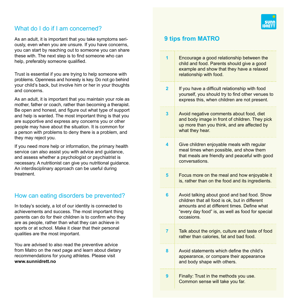## What do I do if I am concerned?

As an adult, it is important that you take symptoms seriously, even when you are unsure. If you have concerns, you can start by reaching out to someone you can share these with. The next step is to find someone who can help, preferably someone qualified.

Trust is essential if you are trying to help someone with problems. Openness and honesty is key. Do not go behind your child's back, but involve him or her in your thoughts and concerns.

As an adult, it is important that you maintain your role as mother, father or coach, rather than becoming a therapist. Be open and honest, and figure out what type of support and help is wanted. The most important thing is that you are supportive and express any concerns you or other people may have about the situation. It is common for a person with problems to deny there is a problem, and they may reject you.

If you need more help or information, the primary health service can also assist you with advice and guidance, and assess whether a psychologist or psychiatrist is necessary. A nutritionist can give you nutritional guidance. An interdisciplinary approach can be useful during treatment.

## How can eating disorders be prevented?

In today's society, a lot of our identity is connected to achievements and success. The most important thing parents can do for their children is to confirm who they are as people, rather than what they can achieve in sports or at school. Make it clear that their personal qualities are the most important.

You are advised to also read the preventive advice from Matro on the next page and learn about dietary recommendations for young athletes. Please visit **www.sunnidrett.no**



# **9 tips from MATRO**

| 1              | Encourage a good relationship between the<br>child and food. Parents should give a good<br>example and show that they have a relaxed<br>relationship with food.                                                |
|----------------|----------------------------------------------------------------------------------------------------------------------------------------------------------------------------------------------------------------|
| 2              | If you have a difficult relationship with food<br>yourself, you should try to find other venues to<br>express this, when children are not present.                                                             |
| 3              | Avoid negative comments about food, diet<br>and body image in front of children. They pick<br>up more than you think, and are affected by<br>what they hear.                                                   |
| 4              | Give children enjoyable meals with regular<br>meal times when possible, and show them<br>that meals are friendly and peaceful with good<br>conversations.                                                      |
| 5              | Focus more on the meal and how enjoyable it<br>is, rather than on the food and its ingredients.                                                                                                                |
| 6              | Avoid talking about good and bad food. Show<br>children that all food is ok, but in different<br>amounts and at different times. Define what<br>"every day food" is, as well as food for special<br>occasions. |
| $\overline{7}$ | Talk about the origin, culture and taste of food<br>rather than calories, fat and bad food.                                                                                                                    |
| 8              | Avoid statements which define the child's<br>appearance, or compare their appearance<br>and body shape with others.                                                                                            |
| 9              | Finally: Trust in the methods you use.<br>Common sense will take you far.                                                                                                                                      |